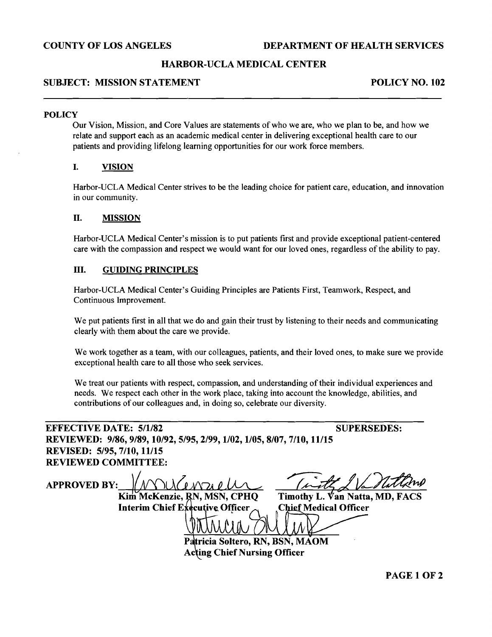# **COUNTY OF LOS ANGELES DEPARTMENT OF HEALTH SERVICES**

# **HARBOR-UCLA MEDICAL CENTER**

### **SUBJECT: MISSION STATEMENT POLICY NO. 102**

### **POLICY**

Our Vision, Mission, and Core Values are statements of who we are, who we plan to be, and how we relate and support each as an academic medical center in delivering exceptional health care to our patients and providing lifelong learning opportunities for our work force members.

## **I. VISION**

Harbor-UCLA Medical Center strives to be the leading choice for patient care, education, and innovation in our community.

### **11. MISSION**

Harbor-UCLA Medical Center's mission is to put patients first and provide exceptional patient-centered care with the compassion and respect we would want for our loved ones, regardless of the ability to pay.

### **111. GUIDING PRINCIPLES**

Harbor-UCLA Medical Center's Guiding Principles are Patients First, Teamwork, Respect, and Continuous Improvement.

We put patients first in all that we do and gain their trust by listening to their needs and communicating clearly with them about the care we provide.

We work together as a team, with our colleagues, patients, and their loved ones, to make sure we provide exceptional health care to all those who seek services.

We treat our patients with respect, compassion, and understanding of their individual experiences and needs. We respect each other in the work place, taking into account the knowledge, abilities, and contributions of our colleagues and, in doing so, celebrate our diversity.

# **EFFECTIVE DATE: 5/1/82** SUPERSEDES: **REVIEWED: 9186,9189, 10/92,5/95,2/99,1/02,1/05,8/07,7/10, 11/15 REVISED: 5195,7110, 11/15 REVIEWED COMMITTEE:**

**APPROVED BY: Kim McKenzie, RN, MSN, CPHQ Timothy L. Van Natta, MD, FACS**<br>Interim Chief Executive Officer <br>Chief Medical Officer **Interim Chief Executive Officer**  $\frac{1}{2}$ **Soltero, RN, BSN; MAOM** 

**Acting Chief Nursing Officer** 

**PAGE 1 OF 2**